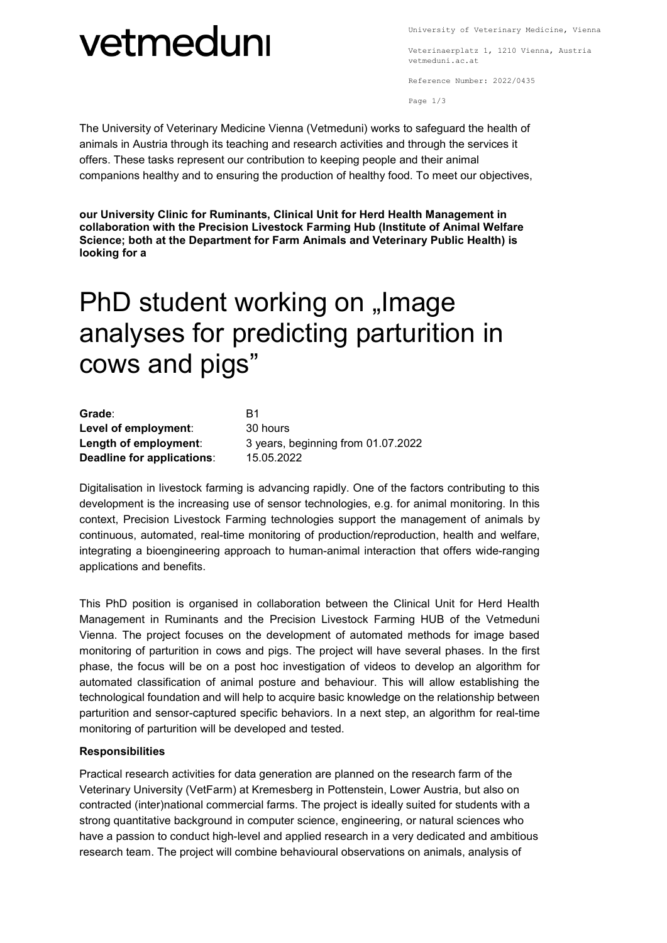#### University of Veterinary Medicine, Vienna

### vetmeduni

Veterinaerplatz 1, 1210 Vienna, Austria vetmeduni.ac.at

Reference Number: 2022/0435

Page 1/3

The University of Veterinary Medicine Vienna (Vetmeduni) works to safeguard the health of animals in Austria through its teaching and research activities and through the services it offers. These tasks represent our contribution to keeping people and their animal companions healthy and to ensuring the production of healthy food. To meet our objectives,

**our University Clinic for Ruminants, Clinical Unit for Herd Health Management in collaboration with the Precision Livestock Farming Hub (Institute of Animal Welfare Science; both at the Department for Farm Animals and Veterinary Public Health) is looking for a**

### PhD student working on "Image analyses for predicting parturition in cows and pigs"

| Grade:                     | B1                                 |
|----------------------------|------------------------------------|
| Level of employment:       | 30 hours                           |
| Length of employment:      | 3 years, beginning from 01.07.2022 |
| Deadline for applications: | 15.05.2022                         |

Digitalisation in livestock farming is advancing rapidly. One of the factors contributing to this development is the increasing use of sensor technologies, e.g. for animal monitoring. In this context, Precision Livestock Farming technologies support the management of animals by continuous, automated, real-time monitoring of production/reproduction, health and welfare, integrating a bioengineering approach to human-animal interaction that offers wide-ranging applications and benefits.

This PhD position is organised in collaboration between the Clinical Unit for Herd Health Management in Ruminants and the Precision Livestock Farming HUB of the Vetmeduni Vienna. The project focuses on the development of automated methods for image based monitoring of parturition in cows and pigs. The project will have several phases. In the first phase, the focus will be on a post hoc investigation of videos to develop an algorithm for automated classification of animal posture and behaviour. This will allow establishing the technological foundation and will help to acquire basic knowledge on the relationship between parturition and sensor-captured specific behaviors. In a next step, an algorithm for real-time monitoring of parturition will be developed and tested.

### **Responsibilities**

Practical research activities for data generation are planned on the research farm of the Veterinary University (VetFarm) at Kremesberg in Pottenstein, Lower Austria, but also on contracted (inter)national commercial farms. The project is ideally suited for students with a strong quantitative background in computer science, engineering, or natural sciences who have a passion to conduct high-level and applied research in a very dedicated and ambitious research team. The project will combine behavioural observations on animals, analysis of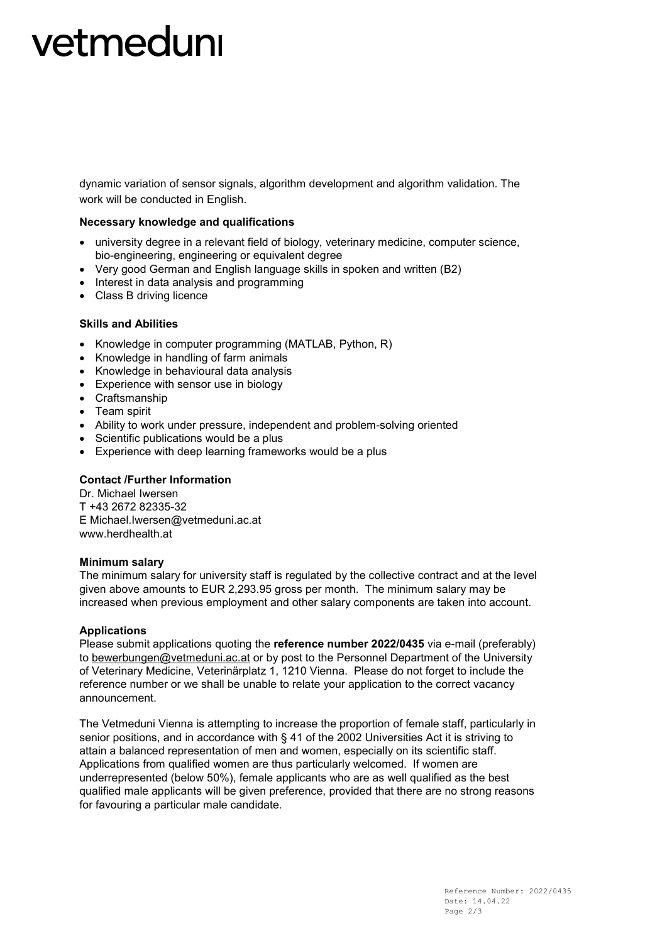# vetmeduni

dynamic variation of sensor signals, algorithm development and algorithm validation. The work will be conducted in English.

#### **Necessary knowledge and qualifications**

- university degree in a relevant field of biology, veterinary medicine, computer science, bio-engineering, engineering or equivalent degree
- Very good German and English language skills in spoken and written (B2)
- Interest in data analysis and programming
- Class B driving licence

#### **Skills and Abilities**

- Knowledge in computer programming (MATLAB, Python, R)
- Knowledge in handling of farm animals
- Knowledge in behavioural data analysis
- Experience with sensor use in biology
- Craftsmanship
- Team spirit
- Ability to work under pressure, independent and problem-solving oriented
- Scientific publications would be a plus
- Experience with deep learning frameworks would be a plus

### **Contact /Further Information**

Dr. Michael Iwersen T +43 2672 82335-32 E Michael.Iwersen@vetmeduni.ac.at www.herdhealth.at

#### **Minimum salary**

The minimum salary for university staff is regulated by the collective contract and at the level given above amounts to EUR 2,293.95 gross per month. The minimum salary may be increased when previous employment and other salary components are taken into account.

#### **Applications**

Please submit applications quoting the **reference number 2022/0435** via e-mail (preferably) to [bewerbungen@vetmeduni.ac.at](mailto:bewerbungen@vetmeduni.ac.at) or by post to the Personnel Department of the University of Veterinary Medicine, Veterinärplatz 1, 1210 Vienna. Please do not forget to include the reference number or we shall be unable to relate your application to the correct vacancy announcement.

The Vetmeduni Vienna is attempting to increase the proportion of female staff, particularly in senior positions, and in accordance with § 41 of the 2002 Universities Act it is striving to attain a balanced representation of men and women, especially on its scientific staff. Applications from qualified women are thus particularly welcomed. If women are underrepresented (below 50%), female applicants who are as well qualified as the best qualified male applicants will be given preference, provided that there are no strong reasons for favouring a particular male candidate.